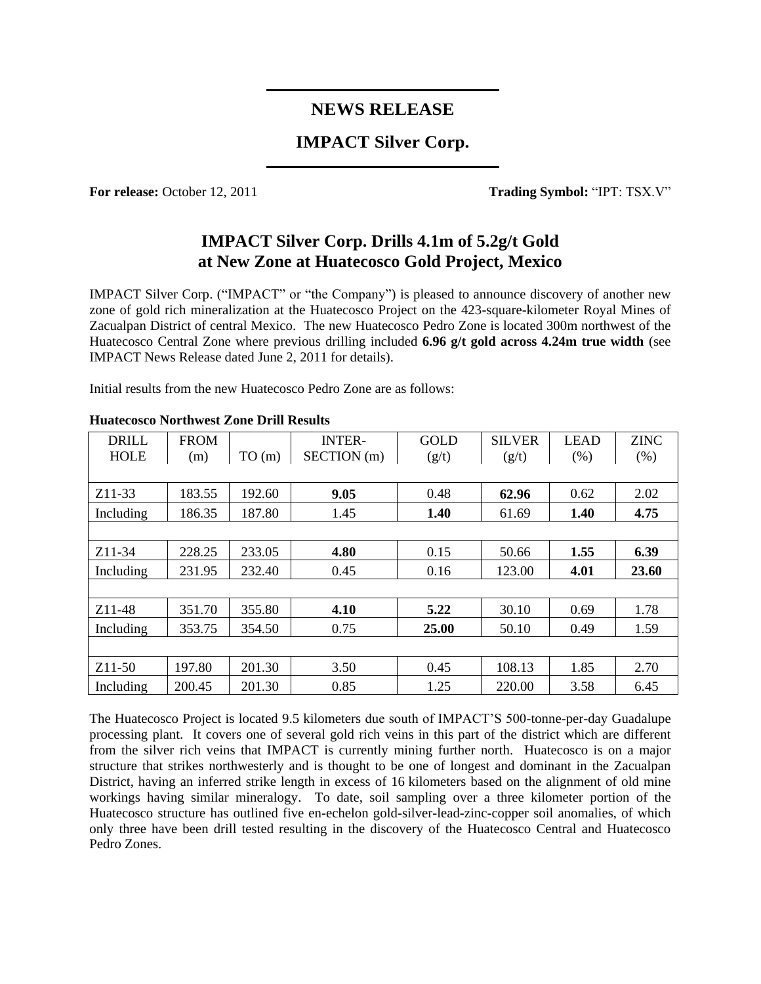# **NEWS RELEASE**

# **IMPACT Silver Corp.**

**For release:** October 12, 2011 **Trading Symbol:** "IPT: TSX.V"

# **IMPACT Silver Corp. Drills 4.1m of 5.2g/t Gold at New Zone at Huatecosco Gold Project, Mexico**

IMPACT Silver Corp. ("IMPACT" or "the Company") is pleased to announce discovery of another new zone of gold rich mineralization at the Huatecosco Project on the 423-square-kilometer Royal Mines of Zacualpan District of central Mexico. The new Huatecosco Pedro Zone is located 300m northwest of the Huatecosco Central Zone where previous drilling included **6.96 g/t gold across 4.24m true width** (see IMPACT News Release dated June 2, 2011 for details).

Initial results from the new Huatecosco Pedro Zone are as follows:

| DRILL               | <b>FROM</b> |        | <b>INTER-</b> | <b>GOLD</b> | <b>SILVER</b> | <b>LEAD</b> | <b>ZINC</b> |
|---------------------|-------------|--------|---------------|-------------|---------------|-------------|-------------|
| <b>HOLE</b>         | (m)         | TO(m)  | SECTION (m)   | (g/t)       | (g/t)         | (% )        | (% )        |
|                     |             |        |               |             |               |             |             |
| Z <sub>11</sub> -33 | 183.55      | 192.60 | 9.05          | 0.48        | 62.96         | 0.62        | 2.02        |
| Including           | 186.35      | 187.80 | 1.45          | 1.40        | 61.69         | 1.40        | 4.75        |
|                     |             |        |               |             |               |             |             |
| $Z11-34$            | 228.25      | 233.05 | 4.80          | 0.15        | 50.66         | 1.55        | 6.39        |
| Including           | 231.95      | 232.40 | 0.45          | 0.16        | 123.00        | 4.01        | 23.60       |
|                     |             |        |               |             |               |             |             |
| Z11-48              | 351.70      | 355.80 | 4.10          | 5.22        | 30.10         | 0.69        | 1.78        |
| Including           | 353.75      | 354.50 | 0.75          | 25.00       | 50.10         | 0.49        | 1.59        |
|                     |             |        |               |             |               |             |             |
| Z <sub>11</sub> -50 | 197.80      | 201.30 | 3.50          | 0.45        | 108.13        | 1.85        | 2.70        |
| Including           | 200.45      | 201.30 | 0.85          | 1.25        | 220.00        | 3.58        | 6.45        |

### **Huatecosco Northwest Zone Drill Results**

The Huatecosco Project is located 9.5 kilometers due south of IMPACT'S 500-tonne-per-day Guadalupe processing plant. It covers one of several gold rich veins in this part of the district which are different from the silver rich veins that IMPACT is currently mining further north. Huatecosco is on a major structure that strikes northwesterly and is thought to be one of longest and dominant in the Zacualpan District, having an inferred strike length in excess of 16 kilometers based on the alignment of old mine workings having similar mineralogy. To date, soil sampling over a three kilometer portion of the Huatecosco structure has outlined five en-echelon gold-silver-lead-zinc-copper soil anomalies, of which only three have been drill tested resulting in the discovery of the Huatecosco Central and Huatecosco Pedro Zones.